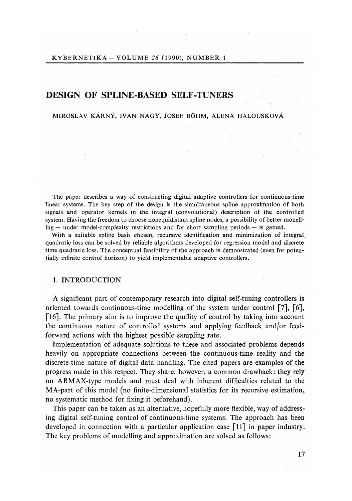# DESIGN OF SPLINE-BASED SELF-TUNERS

## MIROSLAV KÁRNÝ, IVAN NAGY, JOSEF BÓHM, ALENA HALOUSKOVÁ

The paper describes a way of constructing digital adaptive controllers for continuous-time linear systems. The key step of the design is the simultaneous spline approximation of both signals and operator kernels in the integral *(*convolutional) description of the controlled system. Having the freedom to choose nonequidistant spline nodes, a possibility of better modelling — under model-complexity restrictions and for short sampling periods — is gained.

With a suitable spline basis chosen, recursive identification and minimization of integral quadratic loss can be solved by reliable algorithms developed for regression model and discrete time quadratic loss. The conceptual feasibility of the approach is demonstrated *(*even for potentially infinite control horizon) to yield implementable adaptive controllers*.* 

#### 1. INTRODUCTION

A significant part of contemporary research into digital self-tuning controllers is oriented towards continuous-time modelling of the system under control [7], [6], [16]. The primary aim is to improve the quality of control by taking into account the continuous nature of controlled systems and applying feedback and/or feedforward actions with the highest possible sampling rate.

Implementation of adequate solutions to these and associated problems depends heavily on appropriate connections between the continuous-time reality and the discrete-time nature of digital data handling. The cited papers are examples of the progress made in this respect. They share, however, a common drawback: they rely on ARMAX-type models and must deal with inherent difficulties related to the MA-part of this model (no finite-dimensional statistics for its recursive estimation, no systematic method for fixing it beforehand).

This paper can be taken as an alternative, hopefully more flexible, way of addressing digital self-tuning control of continuous-time systems. The approach has been developed in connection with a particular application case [11] in paper industry. The key problems of modelling and approximation are solved as follows: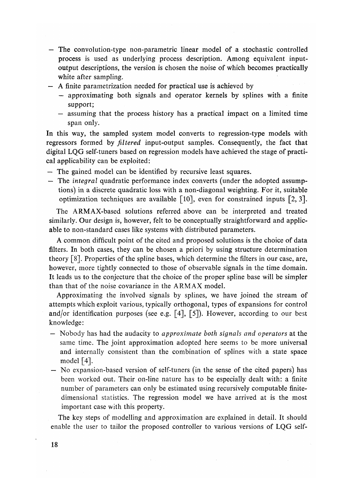- The convolution-type non-parametric linear model of a stochastic controlled process is used as underlying process description. Among equivalent inputoutput descriptions, the version is chosen the noise of which becomes practically white after sampling.
- A finite parametrization needed for practical use is achieved by
	- approximating both signals and operator kernels by splines with a finite support;
	- assuming that the process history has a practical impact on a limited time span only.

In this way, the sampled system model converts to regression-type models with regressors formed by *filtered* input-output samples. Consequently, the fact that digital LQG self-tuners based on regression models have achieved the stage of practical applicability can be exploited:

- The gained model can be identified by recursive least squares.
- The *integral* quadratic performance index converts (under the adopted assumptions) in a discrete quadratic loss with a non-diagonal weighting. For it, suitable optimization techniques are available [10], even for constrained inputs [2, 3].

The ARMAX-based solutions referred above can be interpreted and treated similarly. Our design is, however, felt to be conceptually straightforward and applicable to non-standard cases like systems with distributed parameters.

A common difficult point of the cited and proposed solutions is the choice of data filters. In both cases, they can be chosen a priori by using structure determination theory  $\lceil 8 \rceil$ . Properties of the spline bases, which determine the filters in our case, are, however, more tightly connected to those of observable signals in the time domain. It leads us to the conjecture that the choice of the proper spline base will be simpler than that of the noise covariance in the ARMAX model.

Approximating the involved signals by splines, we have joined the stream of attempts which exploit various, typically orthogonal, types of expansions for control and/or identification purposes (see e.g.  $[4]$ ,  $[5]$ ). However, according to our best knowledge:

- Nobody has had the audacity to *approximate both signals and operators* at the same time. The joint approximation adopted here seems to be more universal and internally consistent than the combination of splines with a state space model  $[4]$ .
- No expansion-based version of self-tuners (in the sense of the cited papers) has been worked out. Their on-line nature has to be especially dealt with: a finite number of parameters can only be estimated using recursively computable finitedimensional statistics. The regression model we have arrived at is the most important case with this property.

The key steps of modelling and approximation are explained in detail. It should enable the user to tailor the proposed controller to various versions of LQG self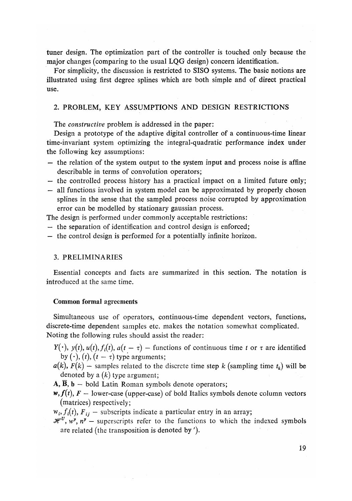tuner design. The optimization part of the controller is touched only because the major changes (comparing to the usual LQG design) concern identification.

For simplicity, the discussion is restricted to SISO systems. The basic notions are illustrated using first degree splines which are both simple and of direct practical use.

## 2*.* PROBLEM, KEY ASSUMPTIONS AND DESIGN RESTRICTIONS

The *constructive* problem is addressed in the paper:

Design a prototype of the adaptive digital controller of a continuous-time linear time-invariant system optimizing the integral-quadratic performance index under the following key assumptions:

- the relation of the system output to the system input and process noise is affine describable in terms of convolution operators;
- the controlled process history has a practical impact on a limited future only;
- all functions involved in system model can be approximated by properly chosen splines in the sense that the sampled process noise corrupted by approximation error can be modelled by stationary gaussian process.

The design is performed under commonly acceptable restrictions:

- the separation of identification and control design is enforced;
- the control design is performed for a potentially infinite horizon.

#### 3. PRELIMINARIES

Essential concepts and facts are summarized in this section. The notation is introduced at the same time.

#### Common formal agreements

Simultaneous use of operators, continuous-time dependent vectors, functions, discrete-time dependent samples etc. makes the notation somewhat complicated. Noting the following rules should assist the reader:

- $Y(\cdot)$ ,  $y(t)$ ,  $u(t)$ ,  $f_i(t)$ ,  $a(t \tau)$  functions of continuous time *t* or  $\tau$  are identified by  $(\cdot)$ *,*  $(t)$ *,*  $(t - \tau)$  type arguments;
- $a(k)$ ,  $F(k)$  samples related to the discrete time step k (sampling time  $t_k$ ) will be denoted by a *(k)* type argument;
- $\overline{A}$ ,  $\overline{B}$ ,  $\overline{b}$  bold Latin Roman symbols denote operators;
- $w, f(t), F$  lower-case (upper-case) of bold Italics symbols denote column vectors (matrices) respectively;

 $w_i, f_i(t), F_{ij}$  — subscripts indicate a particular entry in an array;

 $\mathcal{H}^U$ ,  $w^{\mathbf{y}}$ ,  $n^{\mathbf{y}}$  – superscripts refer to the functions to which the indexed symbols are related (the transposition is denoted by ').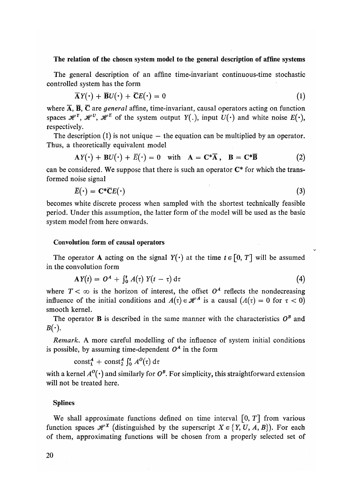## **The relation of the** chosen system **model to t**h**e general description of affine systems**

The general description of an affine time-invariant continuous-time stochastic controlled system has the form

$$
\overline{\mathbf{A}}\mathbf{Y}(\cdot) + \overline{\mathbf{B}}\mathbf{U}(\cdot) + \overline{\mathbf{C}}\mathbf{E}(\cdot) = 0 \tag{1}
$$

where A, B, C are *general* affine, time-invariant, causal operators acting on function spaces  $\mathcal{H}^{Y}$ ,  $\mathcal{H}^{U}$ ,  $\mathcal{H}^{E}$  of the system output  $Y(.)$ , input  $U(\cdot)$  and white noise  $E(\cdot)$ , respectively.

The description  $(1)$  is not unique  $-$  the equation can be multiplied by an operator. Thus, a theoretically equivalent model

$$
AY(\cdot) + BU(\cdot) + \overline{E}(\cdot) = 0 \quad \text{with} \quad A = C^*\overline{A} \,, \quad B = C^*\overline{B} \tag{2}
$$

can be considered. We suppose that there is such an operator  $C^*$  for which the transformed noise signal

$$
\overline{E}(\cdot) = \mathbf{C}^* \overline{\mathbf{C}} E(\cdot) \tag{3}
$$

becomes white discrete process when sampled with the shortest technically feasible period. Under this assumption, the latter form of the model will be used as the basic system model from here onwards.

## Convolution form of causal operators

The operator **A** acting on the signal  $Y(\cdot)$  at the time  $t \in [0, T]$  will be assumed in the convolution form

$$
AY(t) = OA + \int_0^t A(\tau) Y(t - \tau) d\tau
$$
 (4)

where  $T < \infty$  is the horizon of interest, the offset  $O^A$  reflects the nondecreasing influence of the initial conditions and  $A(\tau) \in \mathcal{H}^A$  is a causal  $(A(\tau) = 0$  for  $\tau < 0$ ) smooth kernel.

The operator **B** is described in the same manner with the characteristics  $O^B$  and  $B(\cdot).$ 

*Remark.* A more careful modelling of the influence of system initial conditions is possible, by assuming time-dependent  $O^A$  in the form

 $\text{const}^A_1$  +  $\text{const}^A_2$   $\int_0^t A^O(\tau) d\tau$ 

with a kernel  $A^{\mathcal{O}}(\cdot)$  and similarly for  $O^B$ . For simplicity, this straightforward extension will not be treated here.

#### Splines

We shall approximate functions defined on time interval  $[0, T]$  from various function spaces  $\mathcal{H}^X$  (distinguished by the superscript  $X \in \{Y, U, A, B\}$ ). For each of them, approximating functions will be chosen from a properly selected set of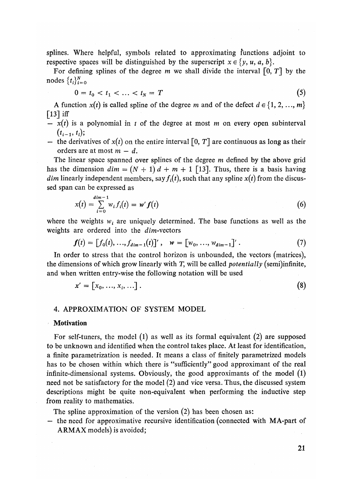splines. Where helpful, symbols related to approximating functions adjoint to respective spaces will be distinguished by the superscript  $x \in \{y, u, a, b\}$ .

For defining splines of the degree m we shall divide the interval [0, *T*] by the nodes  $\{t_i\}_{i=0}^N$ 

$$
0 = t_0 < t_1 < \ldots < t_N = T \tag{5}
$$

A function  $x(t)$  is called spline of the degree m and of the defect  $d \in \{1, 2, ..., m\}$  $\lceil 13 \rceil$  iff

- $x(t)$  is a polynomial in t of the degree at most m on every open subinterval  $(t_{i-1}, t_i);$
- the derivatives of  $x(t)$  on the entire interval [0, T] are continuous as long as their orders are at most m — *d.*

The linear space spanned over splines of the degree m defined by the above grid has the dimension  $dim = (N + 1) d + m + 1$  [13]. Thus, there is a basis having *dim* linearly independent members, say  $f_i(t)$ , such that any spline  $x(t)$  from the discussed span can be expressed as

$$
x(t) = \sum_{i=0}^{dim-1} w_i f_i(t) = w' f(t)
$$
 (6)

where the weights  $w_i$  are uniquely determined. The base functions as well as the weights are ordered into the dim-vectors

$$
f(t) = [f_0(t), ..., f_{dim-1}(t)]', \quad w = [w_0, ..., w_{dim-1}].
$$
 (7)

In order to stress that the control horizon is unbounded, the vectors (matrices), the dimensions of which grow linearly with *T,* will be called *potentially* (semi)infinite, and when written entry-wise the following notation will be used

$$
x' = [x_0, ..., x_i, ...].
$$
 (8)

## 4. APPROXIMATION OF SYSTEM MODEL

#### Motivation

For self-tuners, the model (1) as well as its formal equivalent (2) are supposed to be unknown and identified when the control takes place. At least for identification, a finite parametrization is needed. It means a class of finitely parametrized models has to be chosen within which there is "sufficiently" good approximant of the real infinite-dimensional systems. Obviously, the good approximants of the model (1) need not be satisfactory for the model (2) and vice versa. Thus, the discussed system descriptions might be quite non-equivalent when performing the inductive step from reality to mathematics.

The spline approximation of the version (2) has been chosen as:

— the need for approximative recursive identification (connected with MA-part of ARMAX models) is avoided;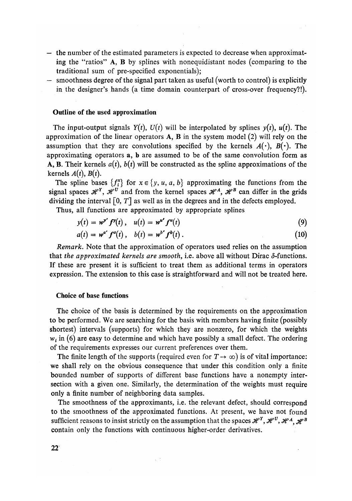- the number of the estimated parameters is expected to decrease when approximating the "ratios" A, B by splines with nonequidistant nodes (comparing to the traditional sum of pre-specified exponentials);
- smoothness degree of the signal part taken as useful (worth to control) is explicitly in the designer's hands (a time domain counterpart of cross-over frequency?!)*.*

#### **Outli**n**e o**f **the used approximatio**n

The input-output signals  $Y(t)$ ,  $U(t)$  will be interpolated by splines  $y(t)$ ,  $u(t)$ . The approximation of the linear operators  $A$ ,  $B$  in the system model (2) will rely on the assumption that they are convolutions specified by the kernels  $A(\cdot)$ ,  $B(\cdot)$ . The approximating operators a, b are assumed to be of the same convolution form as A, B. Their kernels  $a(t)$ ,  $b(t)$  will be constructed as the spline approximations of the kernels  $A(t)$ ,  $B(t)$ .

The spline bases  $\{f_i^x\}$  for  $x \in \{y, u, a, b\}$  approximating the functions from the signal spaces  $\mathcal{H}^Y$ ,  $\mathcal{H}^U$  and from the kernel spaces  $\mathcal{H}^A$ ,  $\mathcal{H}^B$  can differ in the grids dividing the interval [0, *T*] as well as in the degrees and in the defects employed.

Thus, all functions are approximated by appropriate splines

$$
y(t) = w^{\mathbf{v}'} f^{\mathbf{v}}(t), \quad u(t) = w^{\mathbf{u}'} f^{\mathbf{u}}(t) \tag{9}
$$

$$
a(t) = w^{a'} f^{a}(t), b(t) = w^{b'} f^{b}(t).
$$
 (10)

*Remark.* Note that the approximation of operators used relies on the assumption that the approximated kernels are smooth, i.e. above all without Dirac  $\delta$ -functions. If these are present it is sufficient to treat them as additional terms in operators expression*.* The extension to this case is straightforward and will not be treated here*.* 

### Choice of base fun**ctio**n**s**

The choice of the basis is determined by the requirements on the approximation to be performed. We are searching for the basis with members having finite (possibly shortest) intervals (supports) for which they are nonzero, for which the weights  $w_i$  in (6) are easy to determine and which have possibly a small defect. The ordering of the requirements expresses our current preferences over them.

The finite length of the supports (required even for  $T \rightarrow \infty$ ) is of vital importance: we shall rely on the obvious consequence that under this condition only a finite bounded number of supports of different base functions have a nonempty intersection with a given one. Similarly, the determination of the weights must require only a finite number of neighboring data samples.

The smoothness of the approximants, i.e. the relevant defect, should correspond to the smoothness of the approximated functions. At present, we have not found sufficient reasons to insist strictly on the assumption that the spaces  $\mathscr{H}^Y, \mathscr{H}^U, \mathscr{H}^A, \mathscr{H}^B$ contain only the functions with continuous higher-order derivatives.

 $\sim$  1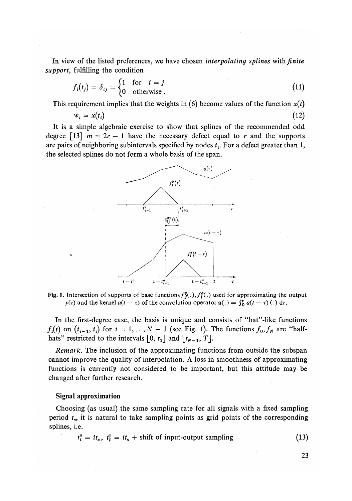In view of the listed preferences, we have chosen *interpolating splines* with *finite support,* fulfilling the condition

$$
f_i(t_j) = \delta_{ij} = \begin{cases} 1 & \text{for } i = j \\ 0 & \text{otherwise.} \end{cases}
$$
 (11)

This requirement implies that the weights in  $(6)$  become values of the function  $x(t)$ 

$$
w_i = x(t_i) \tag{12}
$$

It is a simple algebraic exercise to show that splines of the recommended odd degree [13]  $m = 2r - 1$  have the necessary defect equal to r and the supports are pairs of neighboring subintervals specified by nodes *t<sup>t</sup> .* For a defect greater than 1, the selected splines do not form a whole basis of the span*.* 



Fig. 1. Intersection of supports of base functions  $f_j^y(.)$ ,  $f_i^g(.)$  used for approximating the output  $y(\tau)$  and the kernel  $a(t - \tau)$  of the convolution operator  $a(.) = \int_0^t a(t - \tau)$  (.) d $\tau$ .

In the first-degree case, the basis is unique and consists of "hat"-like functions  $f_i(t)$  on  $(t_{i-1}, t_i)$  for  $i = 1, ..., N-1$  (see Fig. 1). The functions  $f_0, f_N$  are "halfhats" restricted to the intervals  $\begin{bmatrix} 0, t_1 \end{bmatrix}$  and  $\begin{bmatrix} t_{N-1}, T \end{bmatrix}$ .

*Remark.* The inclusion of the approximating functions from outside the subspan cannot improve the quality of interpolation*.* A loss in smoothness of approximating functions is currently not considered to be important, but this attitude may be changed after further research.

## **Signal approximation**

Choosing (as usual) the same sampling rate for all signals with a fixed sampling period  $t_s$ , it is natural to take sampling points as grid points of the corresponding splines, i.e.

$$
t_i^u = it_s, \ t_i^v = it_s + shift of input-output sampling \tag{13}
$$

**23**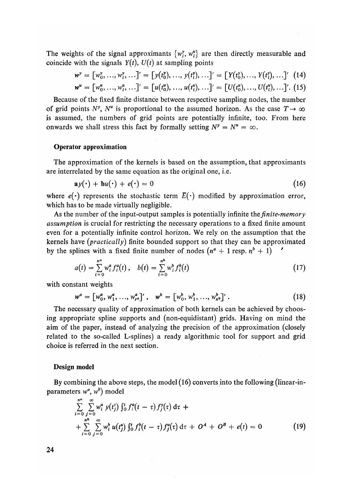The weights of the signal approximants  $\{w_i^y, w_i^u\}$  are then directly measurable and coincide with the signals  $Y(t)$ ,  $U(t)$  at sampling points

$$
w^y = [w_0^y, ..., w_i^y, ...]' = [y(t_0^y), ..., y(t_i^y), ...]' = [Y(t_0^y), ..., Y(t_i^y), ...]' \quad (14)
$$
  

$$
w^u = [w_0^u, ..., w_i^u, ...]' = [u(t_0^u), ..., u(t_i^u), ...]' = [U(t_0^u), ..., U(t_i^u), ...]' \quad (15)
$$

Because of the fixed finite distance between respective sampling nodes, the number of grid points  $N^y$ ,  $N^u$  is proportional to the assumed horizon. As the case  $T \to \infty$ is assumed, the numbers of grid points are potentially infinite, too*.* From here onwards we shall stress this fact by formally setting  $N^y = N^u = \infty$ .

#### **Operator approximatio**n

The approximation of the kernels is based on the assumption, that approximants are interrelated by the same equation as the original one, i.e.

$$
\mathbf{a}y(\cdot) + \mathbf{b}u(\cdot) + e(\cdot) = 0 \tag{16}
$$

where  $e(\cdot)$  represents the stochastic term  $\overline{E}(\cdot)$  modified by approximation error, which has to be made virtually negligible.

As the number of the input-output samples is potentially infinite the *finite-memory assumption* is crucial for restricting the necessary operations to a fixed finite amount even for a potentially infinite control horizon*.* We rely on the assumption that the kernels have *(practically)* finite bounded support so that they can be approximated by the splines with a fixed finite number of nodes  $(n^a + 1 \text{ resp. } n^b + 1)$ 

$$
a(t) = \sum_{i=0}^{n^a} w_i^a f_i^a(t), \quad b(t) = \sum_{i=0}^{n^b} w_i^b f_i^b(t)
$$
 (17)

with constant weights

$$
w^{a} = [w_{0}^{a}, w_{1}^{a}, ..., w_{r^{a}}^{a}]', \quad w^{b} = [w_{0}^{b}, w_{1}^{b}, ..., w_{n^{b}}^{b}]'. \tag{18}
$$

The necessary quality of approximation of both kernels can be achieved by choosing appropriate spline supports and (non-equidistant) grids. Having on mind the aim of the paper, instead of analyzing the precision of the approximation (closely related to the so-called L-splines) a ready algorithmic tool for support and grid choice is referred in the next section.

### **Design** m**odel**

By combining the above steps, the model (16) converts into the following (linear-inparameters  $w^a$ ,  $w^b$ ) model

$$
\sum_{i=0}^{n^a} \sum_{j=0}^{\infty} w_i^a y(t_j^r) \int_0^t f_i^a(t-\tau) f_j^y(\tau) d\tau +
$$
  
+ 
$$
\sum_{i=0}^{n^b} \sum_{j=0}^{\infty} w_i^b u(t_j^u) \int_0^t f_i^b(t-\tau) f_j^u(\tau) d\tau + O^A + O^B + e(t) = 0
$$
 (19)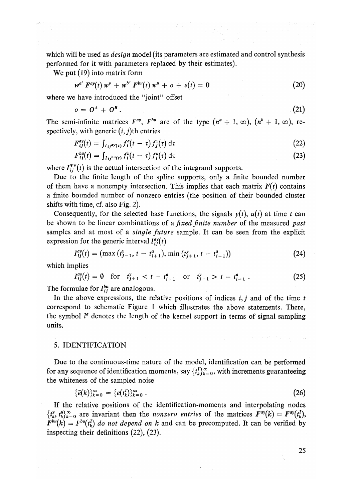which will be used as *design* model (its parameters are estimated and control synthesis performed for it with parameters replaced by their estimates)*.* 

We put (19) into matrix form

$$
w^{a'} F^{ay}(t) w^y + w^{b'} F^{bu}(t) w^u + o + e(t) = 0
$$
\n(20)

where we have introduced the "joint" offset

$$
o = O^A + O^B. \tag{21}
$$

The semi-infinite matrices  $F^{ay}$ ,  $F^{bu}$  are of the type  $(n^a + 1, \infty)$ ,  $(n^b + 1, \infty)$ , respectively, with generic  $(i, j)$ th entries

$$
F_{ij}^{ay}(t) = \int_{I_{ij}^{ay}(t)} f_i^a(t-\tau) f_j^y(\tau) d\tau
$$
\n(22)

$$
F_{ij}^{bu}(t) = \int_{I_{ij}bu(t)} f_i^b(t-\tau) f_j^u(\tau) d\tau
$$
\n(23)

where  $I_{ii}^{**}(t)$  is the actual intersection of the integrand supports.

Due to the finite length of the spline supports, only a finite bounded number of them have a nonempty intersection. This implies that each matrix  $F(t)$  contains a finite bounded number of nonzero entries (the position of their bounded cluster shifts with time, cf. also Fig. 2).

Consequently, for the selected base functions, the signals  $y(t)$ ,  $u(t)$  at time t can be shown to be linear combinations of *a fixed finite number* of the measured *past*  samples and at most of a *single future* sample. It can be seen from the explicit expression for the generic interval  $I_{ii}^{ay}(t)$ 

$$
I_{ij}^{ay}(t) = \left(\max\left(t_{j-1}^y, t - t_{i+1}^a\right), \min\left(t_{j+1}^y, t - t_{i-1}^a\right)\right) \tag{24}
$$

which implies

$$
I_{ij}^{ay}(t) = \emptyset \quad \text{for} \quad t_{j+1}^y < t - t_{i+1}^a \quad \text{or} \quad t_{j-1}^y > t - t_{i-1}^a \,. \tag{25}
$$

The formulae for *Ibu* are analogous.

In the above expressions, the relative positions of indices *i, j* and of the time *t*  correspond to schematic Figure 1 which illustrates the above statements. There, the symbol *V* denotes the length of the kernel support in terms of signal sampling units.

## 5. IDENTIFICATION

Due to the continuous-time nature of the model, identification can be performed for any sequence of identification moments, say  $\{t_k^I\}_{k=0}^\infty$ , with increments guaranteeing the whiteness of the sampled noise

$$
\{\bar{e}(k)\}_{k=0}^{\infty} = \{e(t_k^I)\}_{k=0}^{\infty} .
$$
 (26)

If the relative positions of the identification-moments and interpolating nodes  $\{t_k^y, t_k^u\}_{k=0}^\infty$  are invariant then the *nonzero entries* of the matrices  $F^{ay}(k) = F^{ay}(t_k^I)$ ,  $F^{bu}(k) = F^{bu}(t_k^I)$  *do not depend on k* and can be precomputed. It can be verified by inspecting their definitions (22), (23).

25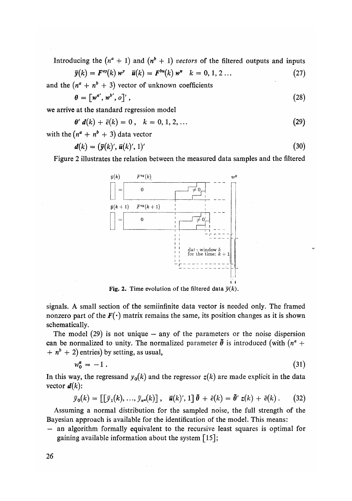Introducing the  $(n^a + 1)$  and  $(n^b + 1)$  vectors of the filtered outputs and inputs *y u*

$$
\overline{y}(k) = F^{ay}(k) w^y \quad \overline{u}(k) = F^{bu}(k) w^u \quad k = 0, 1, 2 \dots \tag{27}
$$

and the  $(n^a + n^b + 3)$  vector of unknown coefficients

$$
\theta = \left[ w^{a'}, w^{b'}, o \right]',\tag{28}
$$

we arrive at the standard regression model

$$
\theta' d(k) + \bar{e}(k) = 0, \quad k = 0, 1, 2, ... \tag{29}
$$

with the  $(n^a + n^b + 3)$  data vector

$$
\mathbf{d}(k) = (\mathbf{\bar{y}}(k)', \mathbf{\bar{u}}(k)', 1)'
$$
\n(30)

Figure 2 illustrates the relation between the measured data samples and the filtered



Fig. 2. Time evolution of the filtered data  $\bar{y}(k)$ .

signals. A small section of the semiinfinite data vector is needed only. The framed nonzero part of the  $F(\cdot)$  matrix remains the same, its position changes as it is shown schematically.

The model  $(29)$  is not unique – any of the parameters or the noise dispersion can be normalized to unity. The normalized parameter  $\tilde{\theta}$  is introduced (with  $(n^a +$  $+ n^{b} + 2$ ) entries) by setting, as usual,

$$
w_0^a = -1 \tag{31}
$$

In this way, the regressand  $y_0(k)$  and the regressor  $z(k)$  are made explicit in the data vector  $\mathbf{d}(k)$ :

$$
\bar{y}_0(k) = \left[\left[\bar{y}_1(k), \ldots, \bar{y}_{n^a}(k)\right], \quad \bar{u}(k)', 1\right] \bar{\theta} + \bar{e}(k) = \bar{\theta}' \ z(k) + \bar{e}(k) \ . \tag{32}
$$

Assuming a normal distribution for the sampled noise, the full strength of the Bayesian approach is available for the identification of the model. This means:

— an algorithm formally equivalent to the recursive least squares is optimal for gaining available information about the system  $\lceil 15 \rceil$ ;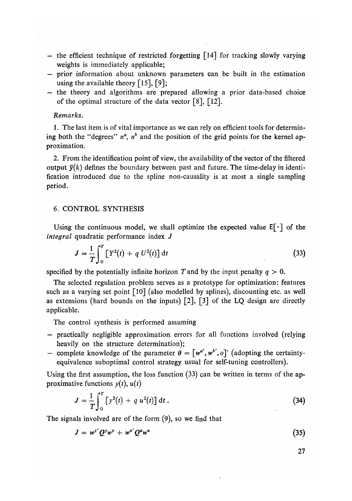- the efficient technique of restricted forgetting  $\lceil 14 \rceil$  for tracking slowly varying weights is immediately applicable;
- prior information about unknown parameters can be built in the estimation using the available theory  $\lceil 15 \rceil$ ,  $\lceil 9 \rceil$ ;
- the theory and algorithms are prepared allowing a prior data-based choice of the optimal structure of the data vector [8], [12]*.*

### *Remarks.*

1*.* The last item is of vital importance as we can rely on efficient tools for determining both the "degrees"  $n^a$ ,  $n^b$  and the position of the grid points for the kernel approximation*.* 

*2.* From the identification point of view, the availability of the vector of the filtered output  $\bar{v}(k)$  defines the boundary between past and future. The time-delay in identification introduced due to the spline non-causality is at most a single sampling period.

## 6. CONTROL SYNTHESIS

Using the continuous model, we shall optimize the expected value  $E[\cdot]$  of the *integral* quadratic performance index *J* 

$$
J = \frac{1}{T} \int_0^T \left[ Y^2(t) + q U^2(t) \right] dt \tag{33}
$$

specified by the potentially infinite horizon *T* and by the input penalty *q >* 0.

The selected regulation problem serves as a prototype for optimization: features such as a varying set point [10] (also modelled by splines), discounting etc. as well as extensions (hard bounds on the inputs)  $\lceil 2 \rceil$ ,  $\lceil 3 \rceil$  of the LQ design are directly applicable.

The control synthesis is performed assuming

- practically negligible approximation errors for all functions involved (relying heavily on the structure determination);
- complete knowledge of the parameter  $\theta = [\omega^{\alpha'}, \omega^{\beta'}, o]'$  (adopting the certaintyequivalence suboptimal control strategy usual for self-tuning controllers)*.*

Using the first assumption, the loss function  $(33)$  can be written in terms of the approximative functions  $y(t)$ ,  $u(t)$ 

$$
J = \frac{1}{T} \int_0^T \left[ y^2(t) + q u^2(t) \right] dt.
$$
 (34)

The signals involved are of the form (9), so we find that

$$
J = w^{y'}Q^{y}w^{y} + w^{u'}Q^{u}w^{u}
$$
 (35)

**27**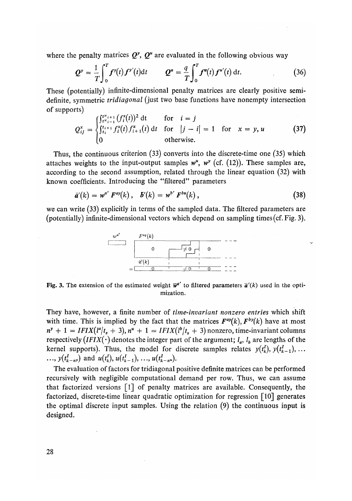where the penalty matrices  $Q^y$ ,  $Q^u$  are evaluated in the following obvious way

$$
Q^y = \frac{1}{T} \int_0^T f^y(t) f^{y'}(t) dt \qquad Q^u = \frac{q}{T} \int_0^T f^u(t) f^{u'}(t) dt. \qquad (36)
$$

These (potentially) infinite-dimensional penalty matrices are clearly positive semidefinite, symmetric *tridiagonal* (just two base functions have nonempty intersection of supports)

$$
Q_{ij}^{x} = \begin{cases} \int_{t^{x_{i-1}}}^{t^{x_{i+1}}} (f_i^{x}(t))^2 dt & \text{for } i = j \\ \int_{t_i}^{t_{i+1}} f_i^{x}(t) f_{i+1}^{x}(t) dt & \text{for } |j - i| = 1 \text{ for } x = y, u \\ 0 & \text{otherwise.} \end{cases}
$$
(37)

Thus, the continuous criterion (33) converts into the discrete-time one (35) which attaches weights to the input-output samples  $w^u$ ,  $w^v$  (cf. (12)). These samples are, according to the second assumption, related through the linear equation (32) with known coefficients*.* Introducing the "filtered" parameters

$$
\bar{a}'(k) = w^{a'} F^{ay}(k), \quad \bar{b}'(k) = w^{b'} F^{bu}(k), \qquad (38)
$$

we can write (33) explicitly in terms of the sampled data*.* The filtered parameters are (potentially) infinite-dimensional vectors which depend on sampling times (cf. Fig. 3).



Fig. 3. The extension of the estimated weight  $\bar{\mathbf{w}}^{a'}$  to filtered parameters  $\bar{\mathbf{a}}'(k)$  used in the optimization.

They have, however, a finite number of *time-invariant nonzero entries* which shift with time. This is implied by the fact that the matrices  $F^{ay}(k)$ ,  $F^{by}(k)$  have at most  $n^y + 1 = IFIX(l^a/t_s + 3), n^u + 1 = IFIX(l^b/t_s + 3)$  nonzero, time-invariant columns respectively  $(IFIX(\cdot)$  denotes the integer part of the argument;  $l_a$ ,  $l_b$  are lengths of the kernel supports). Thus, the model for discrete samples relates  $y(t_k^1), y(t_{k-1}^1), \ldots$  $\ldots$ ,  $y(t_{k-n}^I)$  and  $u(t_k^I)$ ,  $u(t_{k-1}^I)$ , ...,  $u(t_{k-n}^I)$ .

The evaluation of factors for tridiagonal positive definite matrices can be performed recursively with negligible computational demand per row. Thus, we can assume that factorized versions [1] of penalty matrices are available. Consequently, the factorized, discrete-time linear quadratic optimization for regression [10] generates the optimal discrete input samples. Using the relation (9) the continuous input is designed*.*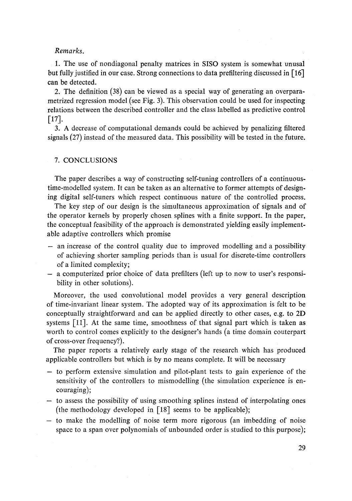## *Remarks.*

1*.* The use of nondiagonal penalty matrices in SISO system is somewhat unusal but fully justified in our case. Strong connections to data prefiltering discussed in [16] can be detected*.* 

2*.* The definition (38) can be viewed as a special way of generating an overparametrized regression model (see Fig. 3). This observation could be used for inspecting relations between the described controller and the class labelled as predictive control **[17].** 

3. A decrease of computational demands could be achieved by penalizing filtered signals (27) instead of the measured data. This possibility will be tested in the future*.* 

### 7*.* CONCLUSIONS

The paper describes a way of constructing self-tuning controllers of a continuoustime-modelled system. It can be taken as an alternative to former attempts of designing digital self-tuners which respect continuous nature of the controlled process.

The key step of our design is the simultaneous approximation of signals and of the operator kernels by properly chosen splines with a finite support. In the paper, the conceptual feasibility of the approach is demonstrated yielding easily implementable adaptive controllers which promise

- an increase of the control quality due to improved modelling and a possibility of achieving shorter sampling periods than is usual for discrete-time controllers of a limited complexity;
- a computerized prior choice of data prefilters (left up to now to user's responsibility in other solutions).

Moreover, the used convolutional model provides a very general description of time-invariant linear system. The adopted way of its approximation is felt to be conceptually straightforward and can be applied directly to other cases, e.g. to 2D systems [11]. At the same time, smoothness of that signal part which is taken as worth to control comes explicitly to the designer's hands (a time domain couterpart of cross-over frequency?).

The paper reports a relatively early stage of the research which has produced applicable controllers but which is by no means complete. It will be necessary

- to perform extensive simulation and pilot-plant tests to gain experience of the sensitivity of the controllers to mismodelling (the simulation experience is encouraging);
- to assess the possibility of using smoothing splines instead of interpolating ones (the methodology developed in [18] seems to be applicable);
- to make the modelling of noise term more rigorous (an imbedding of noise space to a span over polynomials of unbounded order is studied to this purpose);